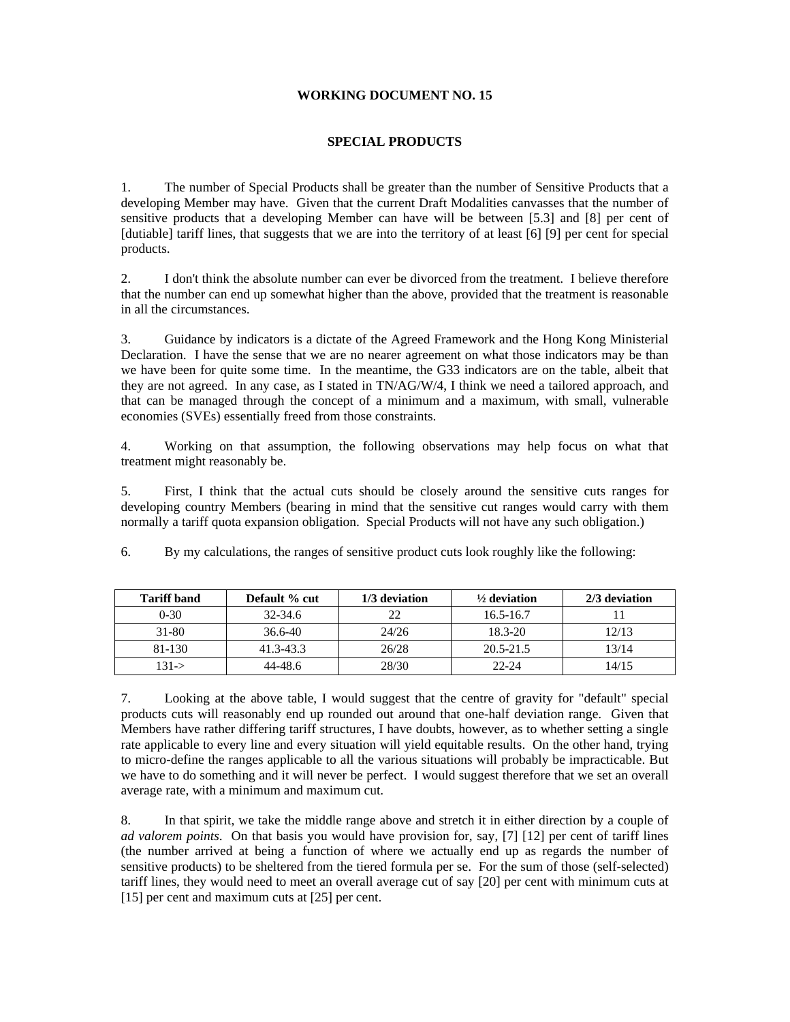## **WORKING DOCUMENT NO. 15**

# **SPECIAL PRODUCTS**

1. The number of Special Products shall be greater than the number of Sensitive Products that a developing Member may have. Given that the current Draft Modalities canvasses that the number of sensitive products that a developing Member can have will be between [5.3] and [8] per cent of [dutiable] tariff lines, that suggests that we are into the territory of at least [6] [9] per cent for special products.

2. I don't think the absolute number can ever be divorced from the treatment. I believe therefore that the number can end up somewhat higher than the above, provided that the treatment is reasonable in all the circumstances.

3. Guidance by indicators is a dictate of the Agreed Framework and the Hong Kong Ministerial Declaration. I have the sense that we are no nearer agreement on what those indicators may be than we have been for quite some time. In the meantime, the G33 indicators are on the table, albeit that they are not agreed. In any case, as I stated in TN/AG/W/4, I think we need a tailored approach, and that can be managed through the concept of a minimum and a maximum, with small, vulnerable economies (SVEs) essentially freed from those constraints.

4. Working on that assumption, the following observations may help focus on what that treatment might reasonably be.

5. First, I think that the actual cuts should be closely around the sensitive cuts ranges for developing country Members (bearing in mind that the sensitive cut ranges would carry with them normally a tariff quota expansion obligation. Special Products will not have any such obligation.)

6. By my calculations, the ranges of sensitive product cuts look roughly like the following:

| <b>Tariff band</b> | Default % cut | 1/3 deviation | $\frac{1}{2}$ deviation | 2/3 deviation |
|--------------------|---------------|---------------|-------------------------|---------------|
| $0 - 30$           | 32-34.6       | 22            | $16.5 - 16.7$           |               |
| 31-80              | $36.6 - 40$   | 24/26         | $18.3 - 20$             | 12/13         |
| 81-130             | 41.3-43.3     | 26/28         | $20.5 - 21.5$           | 13/14         |
| $131 - >$          | 44-48.6       | 28/30         | $22 - 24$               | 14/15         |

7. Looking at the above table, I would suggest that the centre of gravity for "default" special products cuts will reasonably end up rounded out around that one-half deviation range. Given that Members have rather differing tariff structures, I have doubts, however, as to whether setting a single rate applicable to every line and every situation will yield equitable results. On the other hand, trying to micro-define the ranges applicable to all the various situations will probably be impracticable. But we have to do something and it will never be perfect. I would suggest therefore that we set an overall average rate, with a minimum and maximum cut.

8. In that spirit, we take the middle range above and stretch it in either direction by a couple of *ad valorem points*. On that basis you would have provision for, say, [7] [12] per cent of tariff lines (the number arrived at being a function of where we actually end up as regards the number of sensitive products) to be sheltered from the tiered formula per se. For the sum of those (self-selected) tariff lines, they would need to meet an overall average cut of say [20] per cent with minimum cuts at [15] per cent and maximum cuts at [25] per cent.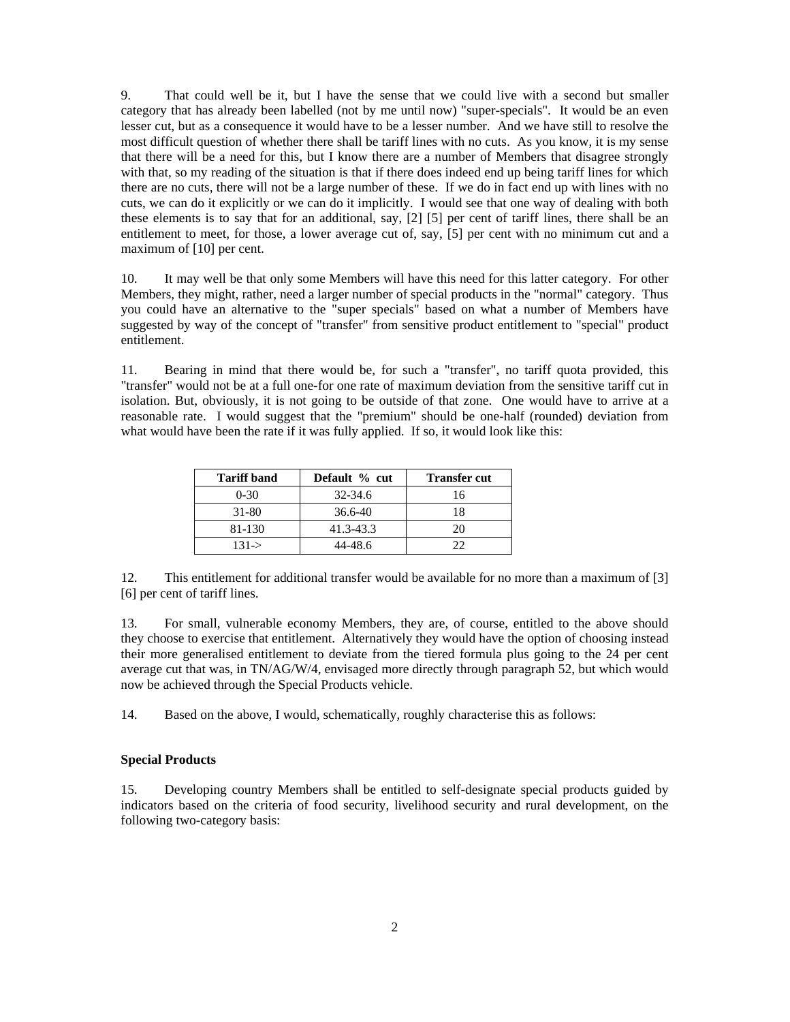9. That could well be it, but I have the sense that we could live with a second but smaller category that has already been labelled (not by me until now) "super-specials". It would be an even lesser cut, but as a consequence it would have to be a lesser number. And we have still to resolve the most difficult question of whether there shall be tariff lines with no cuts. As you know, it is my sense that there will be a need for this, but I know there are a number of Members that disagree strongly with that, so my reading of the situation is that if there does indeed end up being tariff lines for which there are no cuts, there will not be a large number of these. If we do in fact end up with lines with no cuts, we can do it explicitly or we can do it implicitly. I would see that one way of dealing with both these elements is to say that for an additional, say, [2] [5] per cent of tariff lines, there shall be an entitlement to meet, for those, a lower average cut of, say, [5] per cent with no minimum cut and a maximum of [10] per cent.

10. It may well be that only some Members will have this need for this latter category. For other Members, they might, rather, need a larger number of special products in the "normal" category. Thus you could have an alternative to the "super specials" based on what a number of Members have suggested by way of the concept of "transfer" from sensitive product entitlement to "special" product entitlement.

11. Bearing in mind that there would be, for such a "transfer", no tariff quota provided, this "transfer" would not be at a full one-for one rate of maximum deviation from the sensitive tariff cut in isolation. But, obviously, it is not going to be outside of that zone. One would have to arrive at a reasonable rate. I would suggest that the "premium" should be one-half (rounded) deviation from what would have been the rate if it was fully applied. If so, it would look like this:

| <b>Tariff band</b> | Default % cut | <b>Transfer cut</b> |
|--------------------|---------------|---------------------|
| $0-30$             | 32-34.6       | 16                  |
| 31-80              | 36.6-40       | 18                  |
| 81-130             | 41.3-43.3     | 20                  |
| $131 - >$          | 44-48.6       | າາ                  |

12. This entitlement for additional transfer would be available for no more than a maximum of [3] [6] per cent of tariff lines.

13. For small, vulnerable economy Members, they are, of course, entitled to the above should they choose to exercise that entitlement. Alternatively they would have the option of choosing instead their more generalised entitlement to deviate from the tiered formula plus going to the 24 per cent average cut that was, in TN/AG/W/4, envisaged more directly through paragraph 52, but which would now be achieved through the Special Products vehicle.

14. Based on the above, I would, schematically, roughly characterise this as follows:

### **Special Products**

15. Developing country Members shall be entitled to self-designate special products guided by indicators based on the criteria of food security, livelihood security and rural development, on the following two-category basis: